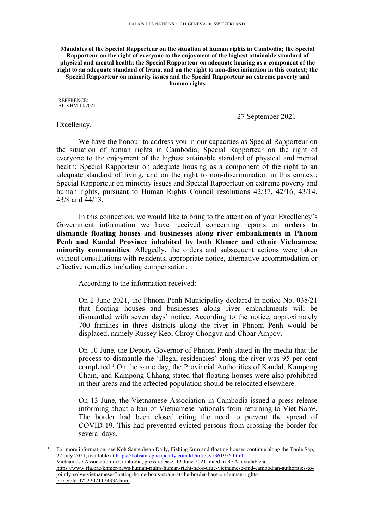**Mandates of the Special Rapporteur on the situation of human rights in Cambodia; the Special Rapporteur on the right of everyone to the enjoyment of the highest attainable standard of physical and mental health; the Special Rapporteur on adequate housing as <sup>a</sup> component of the right to an adequate standard of living, and on the right to non-discrimination in this context; the Special Rapporteur on minority issues and the Special Rapporteur on extreme poverty and human rights**

REFERENCE: AL KHM 10/2021

27 September 2021

Excellency,

We have the honour to address you in our capacities as Special Rapporteur on the situation of human rights in Cambodia; Special Rapporteur on the right of everyone to the enjoyment of the highest attainable standard of physical and mental health; Special Rapporteur on adequate housing as <sup>a</sup> componen<sup>t</sup> of the right to an adequate standard of living, and on the right to non-discrimination in this context; Special Rapporteur on minority issues and Special Rapporteur on extreme poverty and human rights, pursuan<sup>t</sup> to Human Rights Council resolutions 42/37, 42/16, 43/14, 43/8 and 44/13.

In this connection, we would like to bring to the attention of your Excellency'<sup>s</sup> Government information we have received concerning reports on **orders to dismantle floating houses and businesses along river embankments in Phnom Penh and Kandal Province inhabited by both Khmer and ethnic Vietnamese minority communities**. Allegedly, the orders and subsequent actions were taken without consultations with residents, appropriate notice, alternative accommodation or effective remedies including compensation.

According to the information received:

On 2 June 2021, the Phnom Penh Municipality declared in notice No. 038/21 that floating houses and businesses along river embankments will be dismantled with seven days' notice. According to the notice, approximately 700 families in three districts along the river in Phnom Penh would be displaced, namely Russey Keo, Chroy Chongva and Chbar Ampov.

On 10 June, the Deputy Governor of Phnom Penh stated in the media that the process to dismantle the 'illegal residencies' along the river was 95 per cent completed. <sup>1</sup> On the same day, the Provincial Authorities of Kandal, Kampong Cham, and Kampong Chhang stated that floating houses were also prohibited in their areas and the affected population should be relocated elsewhere.

On 13 June, the Vietnamese Association in Cambodia issued <sup>a</sup> press release informing about <sup>a</sup> ban of Vietnamese nationals from returning to Viet Nam<sup>2</sup> . The border had been closed citing the need to preven<sup>t</sup> the spread of COVID-19. This had prevented evicted persons from crossing the border for several days.

<sup>1</sup> For more information, see Koh Santepheap Daily, Fishing farm and floating houses continue along the Tonle Sap, 22 July 2021, available at <https://kohsantepheapdaily.com.kh/article/1361976.html>. <sup>2</sup> Vietnamese Association in Cambodia, press release, 13 June 2021, cited in RFA, available at [https://www.rfa.org/khmer/news/human-rights/human-right-ngos-urge-vietnamese-and-cambodian-authorities-to](https://www.rfa.org/khmer/news/human-rights/human-right-ngos-urge-vietnamese-and-cambodian-authorities-to-jointly-solve-vietnamese-floating-home-boats-strain-at-the-border-base-on-human-rights-principle-07222021124334.html)[jointly-solve-vietnamese-floating-home-boats-strain-at-the-border-base-on-human-rights-](https://www.rfa.org/khmer/news/human-rights/human-right-ngos-urge-vietnamese-and-cambodian-authorities-to-jointly-solve-vietnamese-floating-home-boats-strain-at-the-border-base-on-human-rights-principle-07222021124334.html)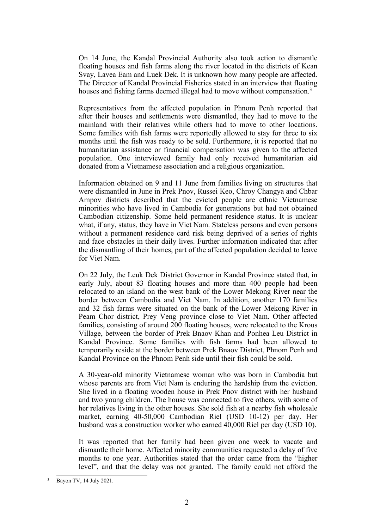On 14 June, the Kandal Provincial Authority also took action to dismantle floating houses and fish farms along the river located in the districts of Kean Svay, Lavea Eam and Luek Dek. It is unknown how many people are affected. The Director of Kandal Provincial Fisheries stated in an interview that floating houses and fishing farms deemed illegal had to move without compensation.<sup>3</sup>

Representatives from the affected population in Phnom Penh reported that after their houses and settlements were dismantled, they had to move to the mainland with their relatives while others had to move to other locations. Some families with fish farms were reportedly allowed to stay for three to six months until the fish was ready to be sold. Furthermore, it is reported that no humanitarian assistance or financial compensation was given to the affected population. One interviewed family had only received humanitarian aid donated from <sup>a</sup> Vietnamese association and <sup>a</sup> religious organization.

Information obtained on 9 and 11 June from families living on structures that were dismantled in June in Prek Pnov, Russei Keo, Chroy Changya and Chbar Ampov districts described that the evicted people are ethnic Vietnamese minorities who have lived in Cambodia for generations but had not obtained Cambodian citizenship. Some held permanen<sup>t</sup> residence status. It is unclear what, if any, status, they have in Viet Nam. Stateless persons and even persons without <sup>a</sup> permanen<sup>t</sup> residence card risk being deprived of <sup>a</sup> series of rights and face obstacles in their daily lives. Further information indicated that after the dismantling of their homes, par<sup>t</sup> of the affected population decided to leave for Viet Nam.

On 22 July, the Leuk Dek District Governor in Kandal Province stated that, in early July, about 83 floating houses and more than 400 people had been relocated to an island on the west bank of the Lower Mekong River near the border between Cambodia and Viet Nam. In addition, another 170 families and 32 fish farms were situated on the bank of the Lower Mekong River in Peam Chor district, Prey Veng province close to Viet Nam. Other affected families, consisting of around 200 floating houses, were relocated to the Krous Village, between the border of Prek Bnaov Khan and Ponhea Leu District in Kandal Province. Some families with fish farms had been allowed to temporarily reside at the border between Prek Bnaov District, Phnom Penh and Kandal Province on the Phnom Penh side until their fish could be sold.

A 30-year-old minority Vietnamese woman who was born in Cambodia but whose parents are from Viet Nam is enduring the hardship from the eviction. She lived in <sup>a</sup> floating wooden house in Prek Pnov district with her husband and two young children. The house was connected to five others, with some of her relatives living in the other houses. She sold fish at <sup>a</sup> nearby fish wholesale market, earning 40-50,000 Cambodian Riel (USD 10-12) per day. Her husband was <sup>a</sup> construction worker who earned 40,000 Riel per day (USD 10).

It was reported that her family had been given one week to vacate and dismantle their home. Affected minority communities requested <sup>a</sup> delay of five months to one year. Authorities stated that the order came from the "higher level", and that the delay was not granted. The family could not afford the

<sup>3</sup> Bayon TV, <sup>14</sup> July 2021.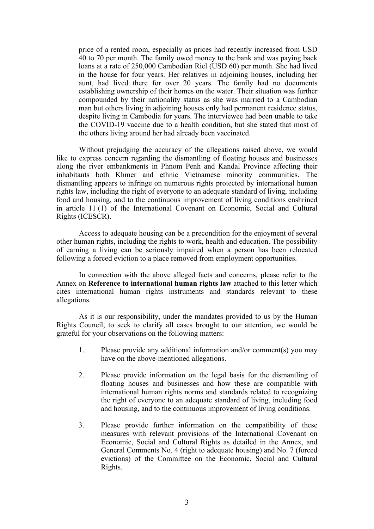price of <sup>a</sup> rented room, especially as prices had recently increased from USD 40 to 70 per month. The family owed money to the bank and was paying back loans at <sup>a</sup> rate of 250,000 Cambodian Riel (USD 60) per month. She had lived in the house for four years. Her relatives in adjoining houses, including her aunt, had lived there for over 20 years. The family had no documents establishing ownership of their homes on the water. Their situation was further compounded by their nationality status as she was married to <sup>a</sup> Cambodian man but others living in adjoining houses only had permanen<sup>t</sup> residence status, despite living in Cambodia for years. The interviewee had been unable to take the COVID-19 vaccine due to <sup>a</sup> health condition, but she stated that most of the others living around her had already been vaccinated.

Without prejudging the accuracy of the allegations raised above, we would like to express concern regarding the dismantling of floating houses and businesses along the river embankments in Phnom Penh and Kandal Province affecting their inhabitants both Khmer and ethnic Vietnamese minority communities. The dismantling appears to infringe on numerous rights protected by international human rights law, including the right of everyone to an adequate standard of living, including food and housing, and to the continuous improvement of living conditions enshrined in article 11 (1) of the International Covenant on Economic, Social and Cultural Rights (ICESCR).

Access to adequate housing can be <sup>a</sup> precondition for the enjoyment of several other human rights, including the rights to work, health and education. The possibility of earning <sup>a</sup> living can be seriously impaired when <sup>a</sup> person has been relocated following <sup>a</sup> forced eviction to <sup>a</sup> place removed from employment opportunities.

In connection with the above alleged facts and concerns, please refer to the Annex on **Reference to international human rights law** attached to this letter which cites international human rights instruments and standards relevant to these allegations.

As it is our responsibility, under the mandates provided to us by the Human Rights Council, to seek to clarify all cases brought to our attention, we would be grateful for your observations on the following matters:

- 1. Please provide any additional information and/or comment(s) you may have on the above-mentioned allegations.
- 2. Please provide information on the legal basis for the dismantling of floating houses and businesses and how these are compatible with international human rights norms and standards related to recognizing the right of everyone to an adequate standard of living, including food and housing, and to the continuous improvement of living conditions.
- 3. Please provide further information on the compatibility of these measures with relevant provisions of the International Covenant on Economic, Social and Cultural Rights as detailed in the Annex, and General Comments No. 4 (right to adequate housing) and No. 7 (forced evictions) of the Committee on the Economic, Social and Cultural Rights.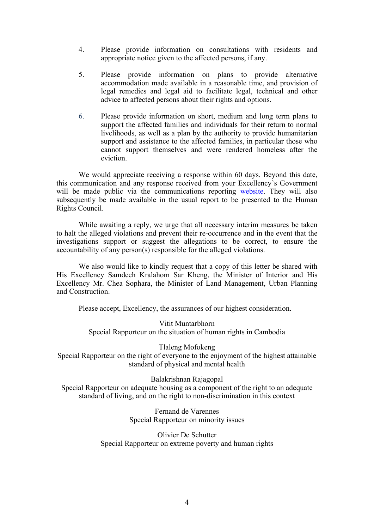- 4. Please provide information on consultations with residents and appropriate notice given to the affected persons, if any.
- 5. Please provide information on plans to provide alternative accommodation made available in <sup>a</sup> reasonable time, and provision of legal remedies and legal aid to facilitate legal, technical and other advice to affected persons about their rights and options.
- 6. Please provide information on short, medium and long term plans to suppor<sup>t</sup> the affected families and individuals for their return to normal livelihoods, as well as <sup>a</sup> plan by the authority to provide humanitarian suppor<sup>t</sup> and assistance to the affected families, in particular those who cannot suppor<sup>t</sup> themselves and were rendered homeless after the eviction.

We would appreciate receiving <sup>a</sup> response within 60 days. Beyond this date, this communication and any response received from your Excellency'<sup>s</sup> Government will be made public via the communications reporting [website](https://spcommreports.ohchr.org/). They will also subsequently be made available in the usual repor<sup>t</sup> to be presented to the Human Rights Council.

While awaiting <sup>a</sup> reply, we urge that all necessary interim measures be taken to halt the alleged violations and preven<sup>t</sup> their re-occurrence and in the event that the investigations suppor<sup>t</sup> or sugges<sup>t</sup> the allegations to be correct, to ensure the accountability of any person(s) responsible for the alleged violations.

We also would like to kindly reques<sup>t</sup> that <sup>a</sup> copy of this letter be shared with His Excellency Samdech Kralahom Sar Kheng, the Minister of Interior and His Excellency Mr. Chea Sophara, the Minister of Land Management, Urban Planning and Construction.

Please accept, Excellency, the assurances of our highest consideration.

Vitit Muntarbhorn Special Rapporteur on the situation of human rights in Cambodia

Tlaleng Mofokeng Special Rapporteur on the right of everyone to the enjoyment of the highest attainable standard of physical and mental health

Balakrishnan Rajagopal Special Rapporteur on adequate housing as <sup>a</sup> componen<sup>t</sup> of the right to an adequate standard of living, and on the right to non-discrimination in this context

> Fernand de Varennes Special Rapporteur on minority issues

Olivier De Schutter Special Rapporteur on extreme poverty and human rights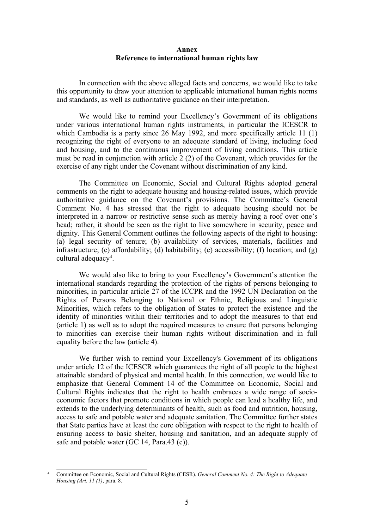## **Annex Reference to international human rights law**

In connection with the above alleged facts and concerns, we would like to take this opportunity to draw your attention to applicable international human rights norms and standards, as well as authoritative guidance on their interpretation.

We would like to remind your Excellency'<sup>s</sup> Government of its obligations under various international human rights instruments, in particular the ICESCR to which Cambodia is <sup>a</sup> party since 26 May 1992, and more specifically article 11 (1) recognizing the right of everyone to an adequate standard of living, including food and housing, and to the continuous improvement of living conditions. This article must be read in conjunction with article 2 (2) of the Covenant, which provides for the exercise of any right under the Covenant without discrimination of any kind.

The Committee on Economic, Social and Cultural Rights adopted general comments on the right to adequate housing and housing-related issues, which provide authoritative guidance on the Covenant'<sup>s</sup> provisions. The Committee'<sup>s</sup> General Comment No. 4 has stressed that the right to adequate housing should not be interpreted in <sup>a</sup> narrow or restrictive sense such as merely having <sup>a</sup> roof over one'<sup>s</sup> head; rather, it should be seen as the right to live somewhere in security, peace and dignity. This General Comment outlines the following aspects of the right to housing: (a) legal security of tenure; (b) availability of services, materials, facilities and infrastructure; (c) affordability; (d) habitability; (e) accessibility; (f) location; and (g) cultural adequacy<sup>4</sup> .

We would also like to bring to your Excellency'<sup>s</sup> Government'<sup>s</sup> attention the international standards regarding the protection of the rights of persons belonging to minorities, in particular article 27 of the ICCPR and the 1992 UN Declaration on the Rights of Persons Belonging to National or Ethnic, Religious and Linguistic Minorities, which refers to the obligation of States to protect the existence and the identity of minorities within their territories and to adopt the measures to that end (article 1) as well as to adopt the required measures to ensure that persons belonging to minorities can exercise their human rights without discrimination and in full equality before the law (article 4).

We further wish to remind your Excellency's Government of its obligations under article 12 of the ICESCR which guarantees the right of all people to the highest attainable standard of physical and mental health. In this connection, we would like to emphasize that General Comment 14 of the Committee on Economic, Social and Cultural Rights indicates that the right to health embraces <sup>a</sup> wide range of socioeconomic factors that promote conditions in which people can lead <sup>a</sup> healthy life, and extends to the underlying determinants of health, such as food and nutrition, housing, access to safe and potable water and adequate sanitation. The Committee further states that State parties have at least the core obligation with respec<sup>t</sup> to the right to health of ensuring access to basic shelter, housing and sanitation, and an adequate supply of safe and potable water (GC 14, Para.43 (c)).

<sup>4</sup> Committee on Economic, Social and Cultural Rights (CESR). *General Comment No. 4: The Right to Adequate Housing (Art. 11 (1)*, para. 8.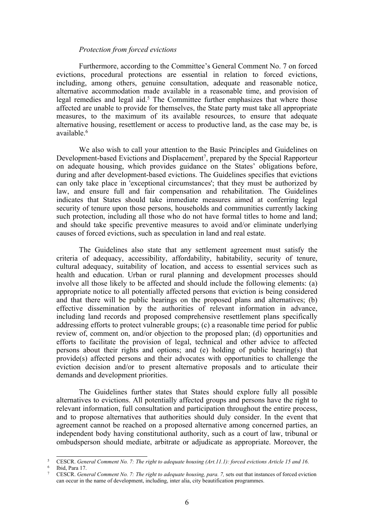## *Protection from forced evictions*

Furthermore, according to the Committee'<sup>s</sup> General Comment No. 7 on forced evictions, procedural protections are essential in relation to forced evictions, including, among others, genuine consultation, adequate and reasonable notice, alternative accommodation made available in <sup>a</sup> reasonable time, and provision of legal remedies and legal aid. 5 The Committee further emphasizes that where those affected are unable to provide for themselves, the State party must take all appropriate measures, to the maximum of its available resources, to ensure that adequate alternative housing, resettlement or access to productive land, as the case may be, is available. 6

We also wish to call your attention to the Basic Principles and Guidelines on Development-based Evictions and Displacement 7 , prepared by the Special Rapporteur on adequate housing, which provides guidance on the States' obligations before, during and after development-based evictions. The Guidelines specifies that evictions can only take place in 'exceptional circumstances'; that they must be authorized by law, and ensure full and fair compensation and rehabilitation. The Guidelines indicates that States should take immediate measures aimed at conferring legal security of tenure upon those persons, households and communities currently lacking such protection, including all those who do not have formal titles to home and land; and should take specific preventive measures to avoid and/or eliminate underlying causes of forced evictions, such as speculation in land and real estate.

The Guidelines also state that any settlement agreemen<sup>t</sup> must satisfy the criteria of adequacy, accessibility, affordability, habitability, security of tenure, cultural adequacy, suitability of location, and access to essential services such as health and education. Urban or rural planning and development processes should involve all those likely to be affected and should include the following elements: (a) appropriate notice to all potentially affected persons that eviction is being considered and that there will be public hearings on the proposed plans and alternatives; (b) effective dissemination by the authorities of relevant information in advance, including land records and proposed comprehensive resettlement plans specifically addressing efforts to protect vulnerable groups; (c) <sup>a</sup> reasonable time period for public review of, comment on, and/or objection to the proposed plan; (d) opportunities and efforts to facilitate the provision of legal, technical and other advice to affected persons about their rights and options; and (e) holding of public hearing(s) that provide(s) affected persons and their advocates with opportunities to challenge the eviction decision and/or to presen<sup>t</sup> alternative proposals and to articulate their demands and development priorities.

The Guidelines further states that States should explore fully all possible alternatives to evictions. All potentially affected groups and persons have the right to relevant information, full consultation and participation throughout the entire process, and to propose alternatives that authorities should duly consider. In the event that agreemen<sup>t</sup> cannot be reached on <sup>a</sup> proposed alternative among concerned parties, an independent body having constitutional authority, such as <sup>a</sup> court of law, tribunal or ombudsperson should mediate, arbitrate or adjudicate as appropriate. Moreover, the

<sup>5</sup> CESCR. *General Comment No. 7: The right to adequate housing (Art.11.1): forced evictions Article 15 and 16*.

<sup>6</sup> Ibid, Para 17.

<sup>7</sup> CESCR. *General Comment No. 7: The right to adequate housing, para. 7,* sets out that instances of forced eviction can occur in the name of development, including, inter alia, city beautification programmes.